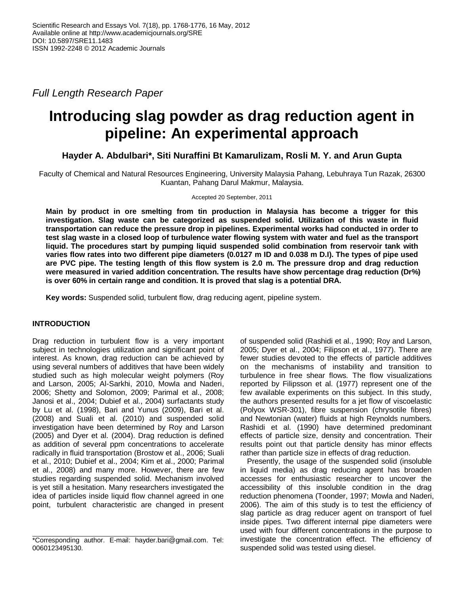*Full Length Research Paper*

# **Introducing slag powder as drag reduction agent in pipeline: An experimental approach**

**Hayder A. Abdulbari\*, Siti Nuraffini Bt Kamarulizam, Rosli M. Y. and Arun Gupta**

Faculty of Chemical and Natural Resources Engineering, University Malaysia Pahang, Lebuhraya Tun Razak, 26300 Kuantan, Pahang Darul Makmur, Malaysia.

Accepted 20 September, 2011

**Main by product in ore smelting from tin production in Malaysia has become a trigger for this investigation. Slag waste can be categorized as suspended solid. Utilization of this waste in fluid transportation can reduce the pressure drop in pipelines. Experimental works had conducted in order to test slag waste in a closed loop of turbulence water flowing system with water and fuel as the transport liquid. The procedures start by pumping liquid suspended solid combination from reservoir tank with varies flow rates into two different pipe diameters (0.0127 m ID and 0.038 m D.I). The types of pipe used are PVC pipe. The testing length of this flow system is 2.0 m. The pressure drop and drag reduction were measured in varied addition concentration. The results have show percentage drag reduction (Dr%) is over 60% in certain range and condition. It is proved that slag is a potential DRA.**

**Key words:** Suspended solid, turbulent flow, drag reducing agent, pipeline system.

# **INTRODUCTION**

Drag reduction in turbulent flow is a very important subject in technologies utilization and significant point of interest. As known, drag reduction can be achieved by using several numbers of additives that have been widely studied such as high molecular weight polymers (Roy and Larson, 2005; Al-Sarkhi, 2010, Mowla and Naderi, 2006; Shetty and Solomon, 2009; Parimal et al., 2008; Janosi et al., 2004; Dubief et al., 2004) surfactants study by Lu et al. (1998), Bari and Yunus (2009), Bari et al. (2008) and Suali et al. (2010) and suspended solid investigation have been determined by Roy and Larson (2005) and Dyer et al. (2004). Drag reduction is defined as addition of several ppm concentrations to accelerate radically in fluid transportation (Brostow et al., 2006; Suali et al., 2010; Dubief et al., 2004; Kim et al., 2000; Parimal et al., 2008) and many more. However, there are few studies regarding suspended solid. Mechanism involved is yet still a hesitation. Many researchers investigated the idea of particles inside liquid flow channel agreed in one point, turbulent characteristic are changed in present of suspended solid (Rashidi et al., 1990; Roy and Larson, 2005; Dyer et al., 2004; Filipson et al., 1977). There are fewer studies devoted to the effects of particle additives on the mechanisms of instability and transition to turbulence in free shear flows. The flow visualizations reported by Filipsson et al. (1977) represent one of the few available experiments on this subject. In this study, the authors presented results for a jet flow of viscoelastic (Polyox WSR-301), fibre suspension (chrysotile fibres) and Newtonian (water) fluids at high Reynolds numbers. Rashidi et al. (1990) have determined predominant effects of particle size, density and concentration. Their results point out that particle density has minor effects rather than particle size in effects of drag reduction.

Presently, the usage of the suspended solid (insoluble in liquid media) as drag reducing agent has broaden accesses for enthusiastic researcher to uncover the accessibility of this insoluble condition in the drag reduction phenomena (Toonder, 1997; Mowla and Naderi, 2006). The aim of this study is to test the efficiency of slag particle as drag reducer agent on transport of fuel inside pipes. Two different internal pipe diameters were used with four different concentrations in the purpose to investigate the concentration effect. The efficiency of suspended solid was tested using diesel.

<sup>\*</sup>Corresponding author. E-mail: hayder.bari@gmail.com. Tel: 0060123495130.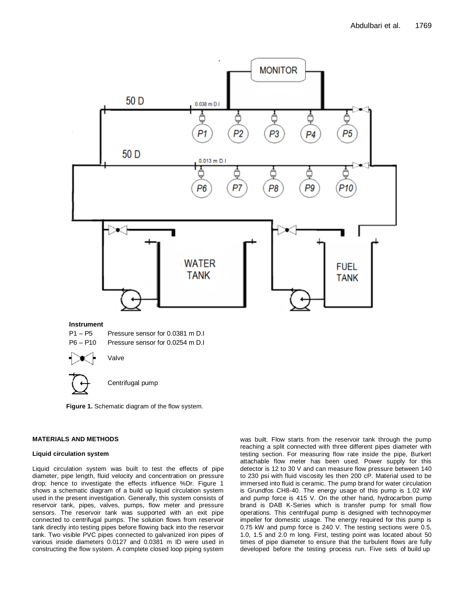

**Figure 1.** Schematic diagram of the flow system.

#### **MATERIALS AND METHODS**

#### **Liquid circulation system**

Liquid circulation system was built to test the effects of pipe diameter, pipe length, fluid velocity and concentration on pressure drop; hence to investigate the effects influence %Dr. Figure 1 shows a schematic diagram of a build up liquid circulation system used in the present investigation. Generally, this system consists of reservoir tank, pipes, valves, pumps, flow meter and pressure sensors. The reservoir tank was supported with an exit pipe connected to centrifugal pumps. The solution flows from reservoir tank directly into testing pipes before flowing back into the reservoir tank. Two visible PVC pipes connected to galvanized iron pipes of various inside diameters 0.0127 and 0.0381 m ID were used in constructing the flow system. A complete closed loop piping system was built. Flow starts from the reservoir tank through the pump reaching a split connected with three different pipes diameter with testing section. For measuring flow rate inside the pipe, Burkert attachable flow meter has been used. Power supply for this detector is 12 to 30 V and can measure flow pressure between 140 to 230 psi with fluid viscosity les then 200 cP. Material used to be immersed into fluid is ceramic. The pump brand for water circulation is Grundfos CH8-40. The energy usage of this pump is 1.02 kW and pump force is 415 V. On the other hand, hydrocarbon pump brand is DAB K-Series which is transfer pump for small flow operations. This centrifugal pump is designed with technopoymer impeller for domestic usage. The energy required for this pump is 0.75 kW and pump force is 240 V. The testing sections were 0.5, 1.0, 1.5 and 2.0 m long. First, testing point was located about 50 times of pipe diameter to ensure that the turbulent flows are fully developed before the testing process run. Five sets of build up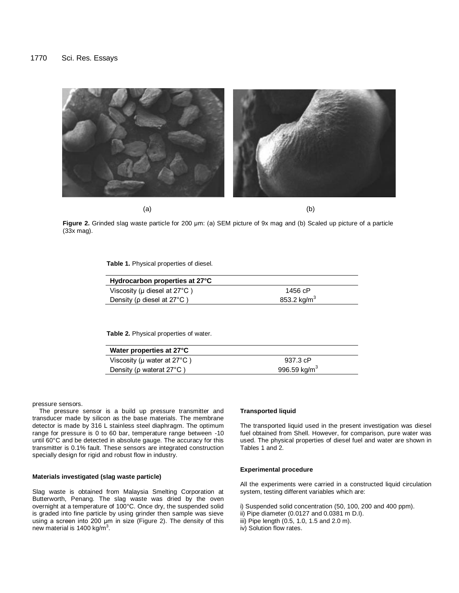

**Figure 2.** Grinded slag waste particle for 200 μm: (a) SEM picture of 9x mag and (b) Scaled up picture of a particle (33x mag).

**Table 1.** Physical properties of diesel.

| Hydrocarbon properties at 27°C              |                         |
|---------------------------------------------|-------------------------|
| Viscosity ( $\mu$ diesel at 27 $\degree$ C) | 1456 cP                 |
| Density ( $\rho$ diesel at 27 $\degree$ C)  | 853.2 kg/m <sup>3</sup> |

**Table 2.** Physical properties of water.

| Water properties at 27°C                   |                          |
|--------------------------------------------|--------------------------|
| Viscosity ( $\mu$ water at 27 $\degree$ C) | 937.3 cP                 |
| Density ( $\rho$ waterat 27 $\degree$ C)   | 996.59 kg/m <sup>3</sup> |

pressure sensors.

The pressure sensor is a build up pressure transmitter and transducer made by silicon as the base materials. The membrane detector is made by 316 L stainless steel diaphragm. The optimum range for pressure is 0 to 60 bar, temperature range between -10 until 60°C and be detected in absolute gauge. The accuracy for this transmitter is 0.1% fault. These sensors are integrated construction specially design for rigid and robust flow in industry.

#### **Materials investigated (slag waste particle)**

Slag waste is obtained from Malaysia Smelting Corporation at Butterworth, Penang. The slag waste was dried by the oven overnight at a temperature of 100°C. Once dry, the suspended solid is graded into fine particle by using grinder then sample was sieve using a screen into 200 μm in size (Figure 2). The density of this new material is 1400 kg/m<sup>3</sup>.

### **Transported liquid**

The transported liquid used in the present investigation was diesel fuel obtained from Shell. However, for comparison, pure water was used. The physical properties of diesel fuel and water are shown in Tables 1 and 2.

#### **Experimental procedure**

All the experiments were carried in a constructed liquid circulation system, testing different variables which are:

i) Suspended solid concentration (50, 100, 200 and 400 ppm).

- ii) Pipe diameter (0.0127 and 0.0381 m D.I).
- iii) Pipe length (0.5, 1.0, 1.5 and 2.0 m).
- iv) Solution flow rates.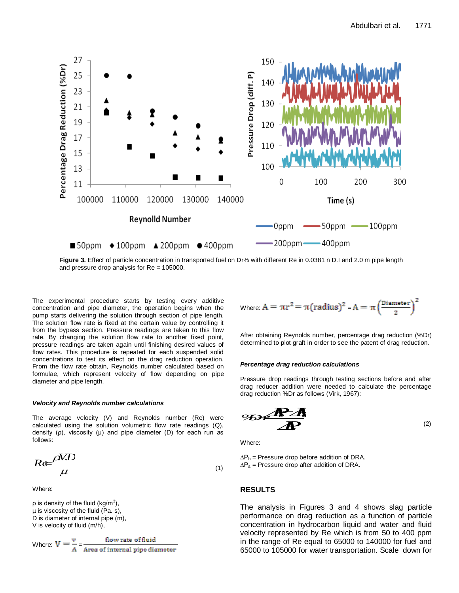

**Figure 3.** Effect of particle concentration in transported fuel on Dr% with different Re in 0.0381 n D.I and 2.0 m pipe length and pressure drop analysis for Re = 105000.

The experimental procedure starts by testing every additive concentration and pipe diameter, the operation begins when the pump starts delivering the solution through section of pipe length. The solution flow rate is fixed at the certain value by controlling it from the bypass section. Pressure readings are taken to this flow rate. By changing the solution flow rate to another fixed point, pressure readings are taken again until finishing desired values of flow rates. This procedure is repeated for each suspended solid concentrations to test its effect on the drag reduction operation. From the flow rate obtain, Reynolds number calculated based on formulae, which represent velocity of flow depending on pipe diameter and pipe length.

#### *Velocity and Reynolds number calculations*

The average velocity (V) and Reynolds number (Re) were calculated using the solution volumetric flow rate readings (Q), density (ρ), viscosity (μ) and pipe diameter (D) for each run as follows:

$$
Re \frac{\rho V.D}{\mu}
$$
  
\n $AP_a$  = Pressure drop before addition of DRA.  
\n(1)  $AP_a$  = Pressure drop after addition of DRA.

Where:

ρ is density of the fluid (kg/m $^3$ ), µ is viscosity of the fluid (Pa. s), D is diameter of internal pipe (m), V is velocity of fluid (m/h),

Where: 
$$
V = \frac{v}{A} = \frac{\text{flow rate of fluid}}{\text{Area of internal pipe diameter}}
$$

Where: 
$$
A = \pi r^2 = \pi (radius)^2 = A = \pi \left(\frac{Diameter}{2}\right)^2
$$

After obtaining Reynolds number, percentage drag reduction (%Dr) determined to plot graft in order to see the patent of drag reduction.

#### *Percentage drag reduction calculations*

Pressure drop readings through testing sections before and after drag reducer addition were needed to calculate the percentage drag reduction %Dr as follows (Virk, 1967):

*P PP b %Dr <sup>b</sup> <sup>a</sup>* (2)

Where:

 $\Delta P_a$  = Pressure drop after addition of DRA.

## **RESULTS**

The analysis in Figures 3 and 4 shows slag particle performance on drag reduction as a function of particle concentration in hydrocarbon liquid and water and fluid velocity represented by Re which is from 50 to 400 ppm in the range of Re equal to 65000 to 140000 for fuel and 65000 to 105000 for water transportation. Scale down for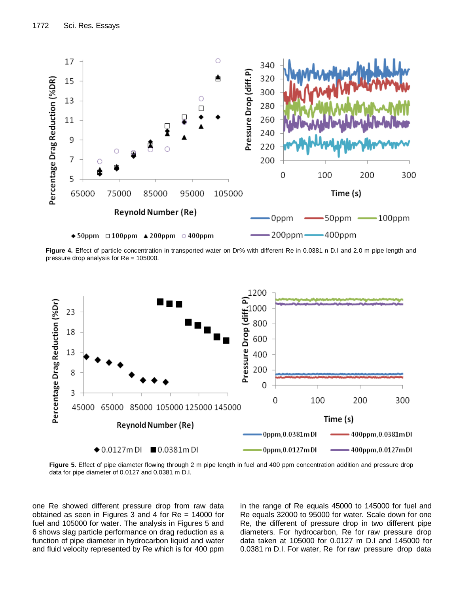

**Figure 4.** Effect of particle concentration in transported water on Dr% with different Re in 0.0381 n D.I and 2.0 m pipe length and pressure drop analysis for Re = 105000.



Figure 5. Effect of pipe diameter flowing through 2 m pipe length in fuel and 400 ppm concentration addition and pressure drop data for pipe diameter of 0.0127 and 0.0381 m D.I.

one Re showed different pressure drop from raw data obtained as seen in Figures 3 and 4 for Re = 14000 for fuel and 105000 for water. The analysis in Figures 5 and 6 shows slag particle performance on drag reduction as a function of pipe diameter in hydrocarbon liquid and water and fluid velocity represented by Re which is for 400 ppm in the range of Re equals 45000 to 145000 for fuel and Re equals 32000 to 95000 for water. Scale down for one Re, the different of pressure drop in two different pipe diameters. For hydrocarbon, Re for raw pressure drop data taken at 105000 for 0.0127 m D.I and 145000 for 0.0381 m D.I. For water, Re for raw pressure drop data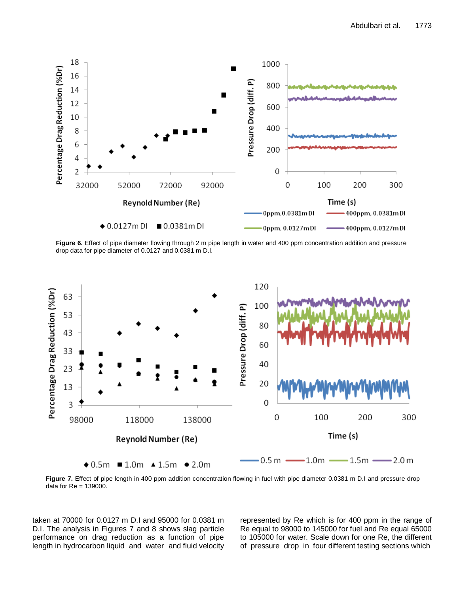

Figure 6. Effect of pipe diameter flowing through 2 m pipe length in water and 400 ppm concentration addition and pressure drop data for pipe diameter of 0.0127 and 0.0381 m D.I.



**Figure 7.** Effect of pipe length in 400 ppm addition concentration flowing in fuel with pipe diameter 0.0381 m D.I and pressure drop data for Re = 139000.

taken at 70000 for 0.0127 m D.I and 95000 for 0.0381 m D.I. The analysis in Figures 7 and 8 shows slag particle performance on drag reduction as a function of pipe length in hydrocarbon liquid and water and fluid velocity represented by Re which is for 400 ppm in the range of Re equal to 98000 to 145000 for fuel and Re equal 65000 to 105000 for water. Scale down for one Re, the different of pressure drop in four different testing sections which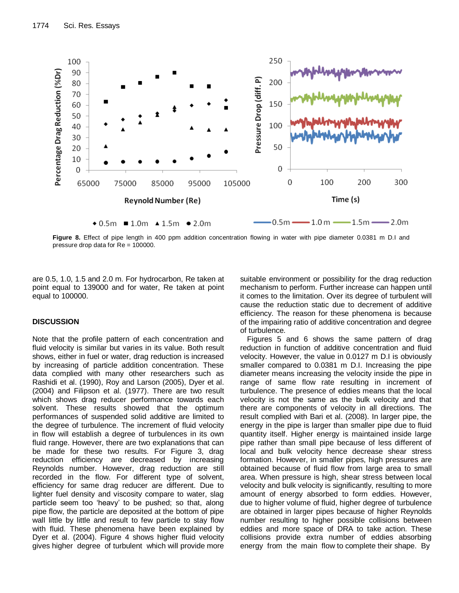

**Figure 8.** Effect of pipe length in 400 ppm addition concentration flowing in water with pipe diameter 0.0381 m D.I and pressure drop data for Re = 100000.

are 0.5, 1.0, 1.5 and 2.0 m. For hydrocarbon, Re taken at point equal to 139000 and for water, Re taken at point equal to 100000.

# **DISCUSSION**

Note that the profile pattern of each concentration and fluid velocity is similar but varies in its value. Both result shows, either in fuel or water, drag reduction is increased by increasing of particle addition concentration. These data complied with many other researchers such as Rashidi et al. (1990), Roy and Larson (2005), Dyer et al. (2004) and Filipson et al. (1977). There are two result which shows drag reducer performance towards each solvent. These results showed that the optimum performances of suspended solid additive are limited to the degree of turbulence. The increment of fluid velocity in flow will establish a degree of turbulences in its own fluid range. However, there are two explanations that can be made for these two results. For Figure 3, drag reduction efficiency are decreased by increasing Reynolds number. However, drag reduction are still recorded in the flow. For different type of solvent, efficiency for same drag reducer are different. Due to lighter fuel density and viscosity compare to water, slag particle seem too 'heavy' to be pushed; so that, along pipe flow, the particle are deposited at the bottom of pipe wall little by little and result to few particle to stay flow with fluid. These phenomena have been explained by Dyer et al. (2004). Figure 4 shows higher fluid velocity gives higher degree of turbulent which will provide more

suitable environment or possibility for the drag reduction mechanism to perform. Further increase can happen until it comes to the limitation. Over its degree of turbulent will cause the reduction static due to decrement of additive efficiency. The reason for these phenomena is because of the impairing ratio of additive concentration and degree of turbulence.

Figures 5 and 6 shows the same pattern of drag reduction in function of additive concentration and fluid velocity. However, the value in 0.0127 m D.I is obviously smaller compared to 0.0381 m D.I. Increasing the pipe diameter means increasing the velocity inside the pipe in range of same flow rate resulting in increment of turbulence. The presence of eddies means that the local velocity is not the same as the bulk velocity and that there are components of velocity in all directions. The result complied with Bari et al. (2008). In larger pipe, the energy in the pipe is larger than smaller pipe due to fluid quantity itself. Higher energy is maintained inside large pipe rather than small pipe because of less different of local and bulk velocity hence decrease shear stress formation. However, in smaller pipes, high pressures are obtained because of fluid flow from large area to small area. When pressure is high, shear stress between local velocity and bulk velocity is significantly, resulting to more amount of energy absorbed to form eddies. However, due to higher volume of fluid, higher degree of turbulence are obtained in larger pipes because of higher Reynolds number resulting to higher possible collisions between eddies and more space of DRA to take action. These collisions provide extra number of eddies absorbing energy from the main flow to complete their shape. By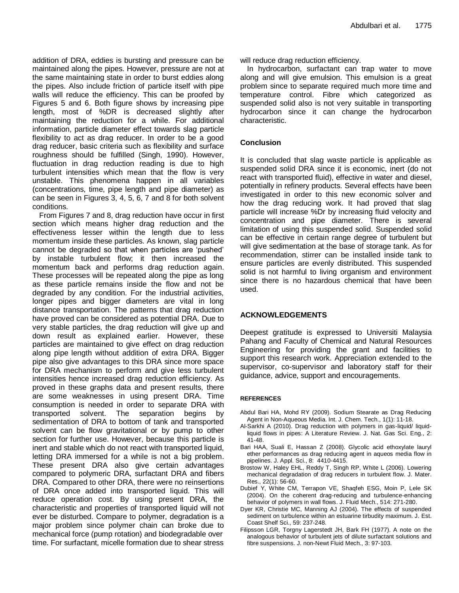addition of DRA, eddies is bursting and pressure can be maintained along the pipes. However, pressure are not at the same maintaining state in order to burst eddies along the pipes. Also include friction of particle itself with pipe walls will reduce the efficiency. This can be proofed by Figures 5 and 6. Both figure shows by increasing pipe length, most of %DR is decreased slightly after maintaining the reduction for a while. For additional information, particle diameter effect towards slag particle flexibility to act as drag reducer. In order to be a good drag reducer, basic criteria such as flexibility and surface roughness should be fulfilled (Singh, 1990). However, fluctuation in drag reduction reading is due to high turbulent intensities which mean that the flow is very unstable. This phenomena happen in all variables (concentrations, time, pipe length and pipe diameter) as can be seen in Figures 3, 4, 5, 6, 7 and 8 for both solvent conditions.

From Figures 7 and 8, drag reduction have occur in first section which means higher drag reduction and the effectiveness lesser within the length due to less momentum inside these particles. As known, slag particle cannot be degraded so that when particles are 'pushed' by instable turbulent flow; it then increased the momentum back and performs drag reduction again. These processes will be repeated along the pipe as long as these particle remains inside the flow and not be degraded by any condition. For the industrial activities, longer pipes and bigger diameters are vital in long distance transportation. The patterns that drag reduction have proved can be considered as potential DRA. Due to very stable particles, the drag reduction will give up and down result as explained earlier. However, these particles are maintained to give effect on drag reduction along pipe length without addition of extra DRA. Bigger pipe also give advantages to this DRA since more space for DRA mechanism to perform and give less turbulent intensities hence increased drag reduction efficiency. As proved in these graphs data and present results, there are some weaknesses in using present DRA. Time consumption is needed in order to separate DRA with transported solvent. The separation begins by sedimentation of DRA to bottom of tank and transported solvent can be flow gravitational or by pump to other section for further use. However, because this particle is inert and stable which do not react with transported liquid, letting DRA immersed for a while is not a big problem. These present DRA also give certain advantages compared to polymeric DRA, surfactant DRA and fibers DRA. Compared to other DRA, there were no reinsertions of DRA once added into transported liquid. This will reduce operation cost. By using present DRA, the characteristic and properties of transported liquid will not ever be disturbed. Compare to polymer, degradation is a major problem since polymer chain can broke due to mechanical force (pump rotation) and biodegradable over time. For surfactant, micelle formation due to shear stress will reduce drag reduction efficiency.

In hydrocarbon, surfactant can trap water to move along and will give emulsion. This emulsion is a great problem since to separate required much more time and temperature control. Fibre which categorized as suspended solid also is not very suitable in transporting hydrocarbon since it can change the hydrocarbon characteristic.

## **Conclusion**

It is concluded that slag waste particle is applicable as suspended solid DRA since it is economic, inert (do not react with transported fluid), effective in water and diesel, potentially in refinery products. Several effects have been investigated in order to this new economic solver and how the drag reducing work. It had proved that slag particle will increase %Dr by increasing fluid velocity and concentration and pipe diameter. There is several limitation of using this suspended solid. Suspended solid can be effective in certain range degree of turbulent but will give sedimentation at the base of storage tank. As for recommendation, stirrer can be installed inside tank to ensure particles are evenly distributed. This suspended solid is not harmful to living organism and environment since there is no hazardous chemical that have been used.

## **ACKNOWLEDGEMENTS**

Deepest gratitude is expressed to Universiti Malaysia Pahang and Faculty of Chemical and Natural Resources Engineering for providing the grant and facilities to support this research work. Appreciation extended to the supervisor, co-supervisor and laboratory staff for their guidance, advice, support and encouragements.

## **REFERENCES**

- Abdul Bari HA, Mohd RY (2009). Sodium Stearate as Drag Reducing Agent in Non-Aqueous Media. Int. J. Chem. Tech., 1(1): 11-18.
- Al-Sarkhi A (2010). Drag reduction with polymers in gas-liquid/ liquidliquid flows in pipes: A Literature Review. J. Nat. Gas Sci. Eng., 2: 41-48.
- Bari HAA, Suali E, Hassan Z (2008). Glycolic acid ethoxylate lauryl ether performances as drag reducing agent in aqueos media flow in pipelines. J. Appl. Sci., 8: 4410-4415.
- Brostow W, Haley EHL, Reddy T, Singh RP, White L (2006). Lowering mechanical degradation of drag reducers in turbulent flow. J. Mater. Res., 22(1): 56-60.
- Dubief Y, White CM, Terrapon VE, Shaqfeh ESG, Moin P, Lele SK (2004). On the coherent drag-reducing and turbulence-enhancing behavior of polymers in wall flows. J. Fluid Mech., 514: 271-280.
- Dyer KR, Christie MC, Manning AJ (2004). The effects of suspended sediment on turbulence within an estuarine tirbudity maximum. J. Est. Coast Shelf Sci., 59: 237-248.
- Filipsson LGR, Torgny Lagerstedt JH, Bark FH (1977). A note on the analogous behavior of turbulent jets of dilute surfactant solutions and fibre suspensions. J. non-Newt Fluid Mech., 3: 97-103.